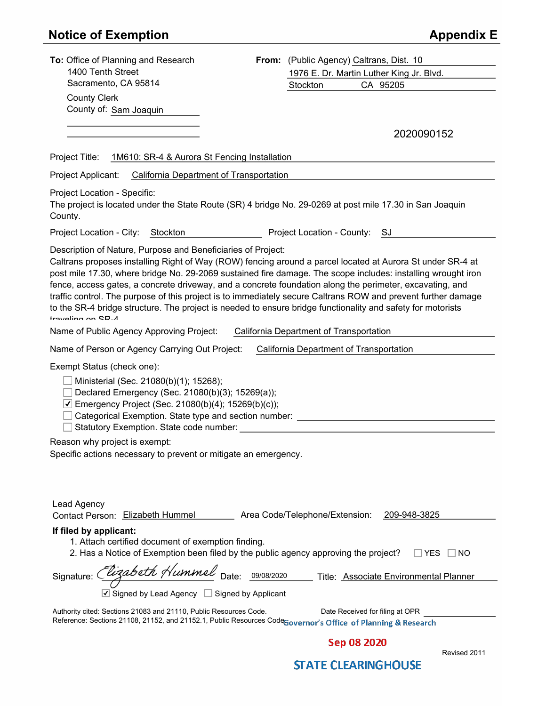# **Notice of Exemption**

| <b>Appendix E</b> |  |
|-------------------|--|
|-------------------|--|

| To: Office of Planning and Research                                                                                                                                                                                                                                                                                                                                                                                                                                                                                                                                                                                                                         | From: (Public Agency) Caltrans, Dist. 10       |
|-------------------------------------------------------------------------------------------------------------------------------------------------------------------------------------------------------------------------------------------------------------------------------------------------------------------------------------------------------------------------------------------------------------------------------------------------------------------------------------------------------------------------------------------------------------------------------------------------------------------------------------------------------------|------------------------------------------------|
| 1400 Tenth Street                                                                                                                                                                                                                                                                                                                                                                                                                                                                                                                                                                                                                                           | 1976 E. Dr. Martin Luther King Jr. Blvd.       |
| Sacramento, CA 95814                                                                                                                                                                                                                                                                                                                                                                                                                                                                                                                                                                                                                                        | CA 95205<br>Stockton                           |
| <b>County Clerk</b>                                                                                                                                                                                                                                                                                                                                                                                                                                                                                                                                                                                                                                         |                                                |
| County of: Sam Joaquin                                                                                                                                                                                                                                                                                                                                                                                                                                                                                                                                                                                                                                      |                                                |
|                                                                                                                                                                                                                                                                                                                                                                                                                                                                                                                                                                                                                                                             | 2020090152                                     |
| Project Title:                                                                                                                                                                                                                                                                                                                                                                                                                                                                                                                                                                                                                                              |                                                |
| 1M610: SR-4 & Aurora St Fencing Installation<br><b>California Department of Transportation</b><br>Project Applicant:                                                                                                                                                                                                                                                                                                                                                                                                                                                                                                                                        |                                                |
|                                                                                                                                                                                                                                                                                                                                                                                                                                                                                                                                                                                                                                                             |                                                |
| Project Location - Specific:<br>The project is located under the State Route (SR) 4 bridge No. 29-0269 at post mile 17.30 in San Joaquin<br>County.                                                                                                                                                                                                                                                                                                                                                                                                                                                                                                         |                                                |
| Project Location - City:<br>Stockton                                                                                                                                                                                                                                                                                                                                                                                                                                                                                                                                                                                                                        | Project Location - County: SJ                  |
| Description of Nature, Purpose and Beneficiaries of Project:<br>Caltrans proposes installing Right of Way (ROW) fencing around a parcel located at Aurora St under SR-4 at<br>post mile 17.30, where bridge No. 29-2069 sustained fire damage. The scope includes: installing wrought iron<br>fence, access gates, a concrete driveway, and a concrete foundation along the perimeter, excavating, and<br>traffic control. The purpose of this project is to immediately secure Caltrans ROW and prevent further damage<br>to the SR-4 bridge structure. The project is needed to ensure bridge functionality and safety for motorists<br>travaling on CR_1 |                                                |
| Name of Public Agency Approving Project:                                                                                                                                                                                                                                                                                                                                                                                                                                                                                                                                                                                                                    | California Department of Transportation        |
| Name of Person or Agency Carrying Out Project:                                                                                                                                                                                                                                                                                                                                                                                                                                                                                                                                                                                                              | California Department of Transportation        |
| Exempt Status (check one):<br>Ministerial (Sec. 21080(b)(1); 15268);<br>Declared Emergency (Sec. 21080(b)(3); 15269(a));<br>◯ Emergency Project (Sec. 21080(b)(4); 15269(b)(c));<br>Categorical Exemption. State type and section number: __________________________<br>Statutory Exemption. State code number:                                                                                                                                                                                                                                                                                                                                             |                                                |
| Reason why project is exempt:                                                                                                                                                                                                                                                                                                                                                                                                                                                                                                                                                                                                                               |                                                |
| Specific actions necessary to prevent or mitigate an emergency.                                                                                                                                                                                                                                                                                                                                                                                                                                                                                                                                                                                             |                                                |
| Lead Agency<br>Contact Person: Elizabeth Hummel                                                                                                                                                                                                                                                                                                                                                                                                                                                                                                                                                                                                             | Area Code/Telephone/Extension:<br>209-948-3825 |
| If filed by applicant:<br>1. Attach certified document of exemption finding.<br>2. Has a Notice of Exemption been filed by the public agency approving the project?                                                                                                                                                                                                                                                                                                                                                                                                                                                                                         | YES<br>NO.                                     |
| Signature: Clizabeth Hummel Date: 09/08/2020                                                                                                                                                                                                                                                                                                                                                                                                                                                                                                                                                                                                                | Title: Associate Environmental Planner         |
| $\triangledown$ Signed by Lead Agency $\square$ Signed by Applicant                                                                                                                                                                                                                                                                                                                                                                                                                                                                                                                                                                                         |                                                |
| Authority cited: Sections 21083 and 21110, Public Resources Code.<br>Reference: Sections 21108, 21152, and 21152.1, Public Resources CodeGovernor's Office of Planning & Research                                                                                                                                                                                                                                                                                                                                                                                                                                                                           | Date Received for filing at OPR                |
|                                                                                                                                                                                                                                                                                                                                                                                                                                                                                                                                                                                                                                                             |                                                |

Sep 08 2020

Revised 2011

## **STATE CLEARINGHOUSE**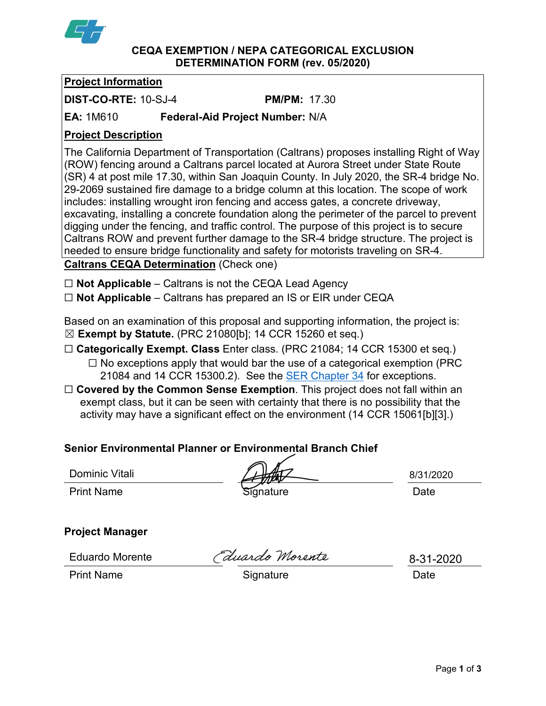

#### **CEQA EXEMPTION / NEPA CATEGORICAL EXCLUSION DETERMINATION FORM (rev. 05/2020)**

## **Project Information**

**DIST-CO-RTE:** 10-SJ-4 **PM/PM:** 17.30

**EA:** 1M610 **Federal-Aid Project Number:** N/A

## **Project Description**

The California Department of Transportation (Caltrans) proposes installing Right of Way (ROW) fencing around a Caltrans parcel located at Aurora Street under State Route (SR) 4 at post mile 17.30, within San Joaquin County. In July 2020, the SR-4 bridge No. 29-2069 sustained fire damage to a bridge column at this location. The scope of work includes: installing wrought iron fencing and access gates, a concrete driveway, excavating, installing a concrete foundation along the perimeter of the parcel to prevent digging under the fencing, and traffic control. The purpose of this project is to secure Caltrans ROW and prevent further damage to the SR-4 bridge structure. The project is needed to ensure bridge functionality and safety for motorists traveling on SR-4. **Caltrans CEQA Determination** (Check one)

☐ **Not Applicable** – Caltrans is not the CEQA Lead Agency

☐ **Not Applicable** – Caltrans has prepared an IS or EIR under CEQA

Based on an examination of this proposal and supporting information, the project is: ☒ **Exempt by Statute.** (PRC 21080[b]; 14 CCR 15260 et seq.)

☐ **Categorically Exempt. Class** Enter class. (PRC 21084; 14 CCR 15300 et seq.)

- $\Box$  No exceptions apply that would bar the use of a categorical exemption (PRC 21084 and 14 CCR 15300.2). See the [SER Chapter 34](https://dot.ca.gov/programs/environmental-analysis/standard-environmental-reference-ser/volume-1-guidance-for-compliance/ch-34-exemptions-to-ceqa#except) for exceptions.
- □ **Covered by the Common Sense Exemption**. This project does not fall within an exempt class, but it can be seen with certainty that there is no possibility that the activity may have a significant effect on the environment (14 CCR 15061[b][3].)

## **Senior Environmental Planner or Environmental Branch Chief**

Dominic Vitali

Print Name **Signature Signature** Date

8/31/2020

### **Project Manager**

Eduardo Morente

Eduardo Morente

8-31-2020

Print Name Signature Date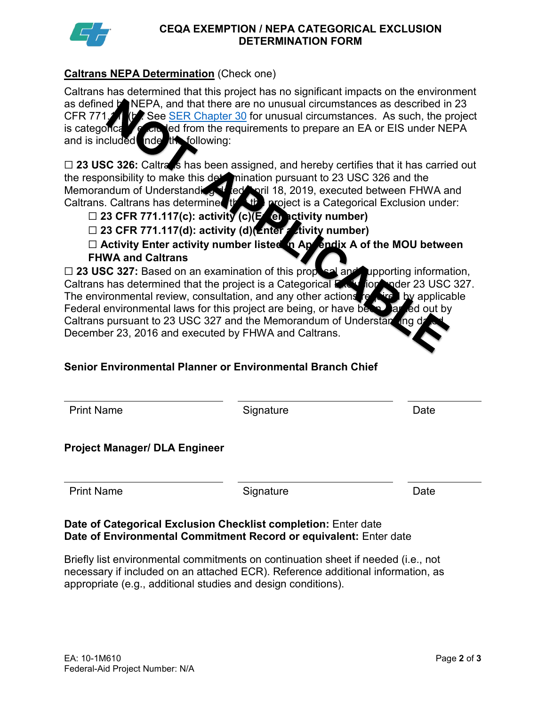

#### **CEQA EXEMPTION / NEPA CATEGORICAL EXCLUSION DETERMINATION FORM**

## **Caltrans NEPA Determination** (Check one)

Caltrans has determined that this project has no significant impacts on the environment as defined **b** NEPA, and that there are no unusual circumstances as described in 23 CFR 771.11 (b) See [SER Chapter 30](https://dot.ca.gov/programs/environmental-analysis/standard-environmental-reference-ser/volume-1-guidance-for-compliance/ch-30-categorical-exclusions#exception) for unusual circumstances. As such, the project is categorically excluded from the requirements to prepare an EA or EIS under NEPA<br>and is included index the following: and is included inde

□ 23 USC 326: Caltrans has been assigned, and hereby certifies that it has carried out the responsibility to make this determination pursuant to 23 USC 326 and the Memorandum of Understanding dated April 18, 2019, executed between FHWA and Caltrans. Caltrans has determined that the project is a Categorical Exclusion under:

- □ 23 CFR 771.117(c): activity (c)(Een activity number)
- □ 23 CFR 771.117(d): activity (d)(**Enter activity number)**

☐ **Activity Enter activity number listed in Appendix A of the MOU between FHWA and Caltrans**

□ 23 USC 327: Based on an examination of this proposal and upporting information, Caltrans has determined that the project is a Categorical Exclusion nader 23 USC 327. The environmental review, consultation, and any other actions  $re^{-\frac{1}{2}}$  by applicable Federal environmental laws for this project are being, or have been, but ed out by Caltrans pursuant to 23 USC 327 and the Memorandum of Understanding December 23, 2016 and executed by FHWA and Caltrans.

## **Senior Environmental Planner or Environmental Branch Chief**

| <b>Print Name</b> |
|-------------------|
|                   |

**Print Name Signature Contract Contract Contract Contract Contract Contract Contract Contract Contract Contract** 

### **Project Manager/ DLA Engineer**

Print Name **Signature Date Date** 

### **Date of Categorical Exclusion Checklist completion:** Enter date **Date of Environmental Commitment Record or equivalent:** Enter date

Briefly list environmental commitments on continuation sheet if needed (i.e., not necessary if included on an attached ECR). Reference additional information, as appropriate (e.g., additional studies and design conditions).